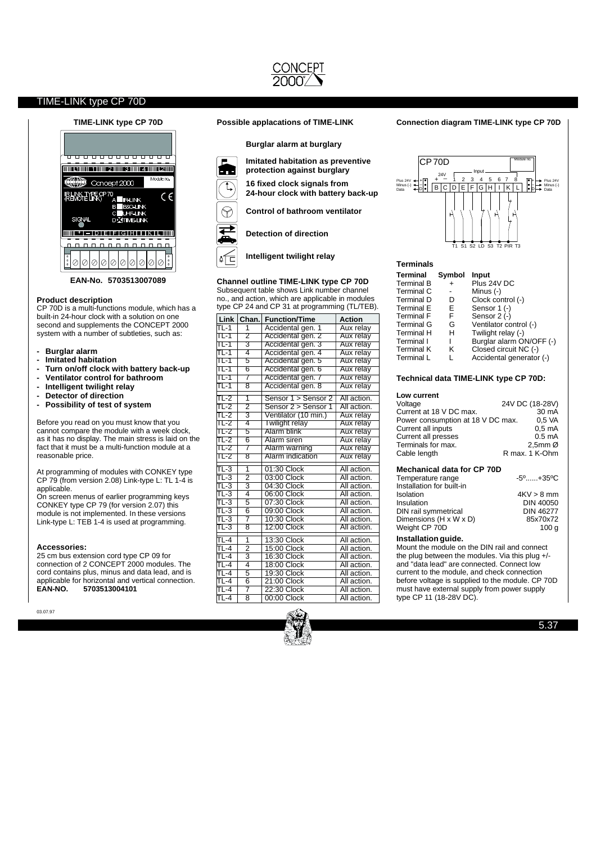

### **Product description**

CP 70D is a multi-functions module, which has a built-in 24-hour clock with a solution on one second and supplements the CONCEPT 2000 system with a number of subtleties, such as:

- **- Burglar alarm**
- **- Imitated habitation**
- **- Turn on/off clock with battery back-up - Ventilator control for bathroom**
- **- Intelligent twilight relay**
- **- Detector of direction**
- **- Possibility of test of system**

Before you read on you must know that you cannot compare the module with a week clock, as it has no display. The main stress is laid on the fact that it must be a multi-function module at a reasonable price.

At programming of modules with CONKEY type CP 79 (from version 2.08) Link-type L: TL 1-4 is applicable.

On screen menus of earlier programming keys CONKEY type CP 79 (for version 2.07) this module is not implemented. In these versions Link-type L: TEB 1-4 is used at programming.

#### **Accessories:**

25 cm bus extension cord type CP 09 for connection of 2 CONCEPT 2000 modules. The cord contains plus, minus and data lead, and is applicable for horizontal and vertical connection.<br>EAN-NO. 5703513004101 **EAN-NO. 5703513004101**

03.07.97

#### **TIME-LINK type CP 70D Possible applacations of TIME-LINK**

**Burglar alarm at burglary**



**16 fixed clock signals from Imitated habitation as preventive protection against burglary**

**24-hour clock with battery back-up**

**Control of bathroom ventilator**



**Detection of direction**

**Intelligent twilight relay**

#### **Channel outline TIME-LINK type CP 70D**

Subsequent table shows Link number channel no., and action, which are applicable in modules type CP 24 and CP 31 at programming (TL/TEB).

| Link                     | Chan.                     | <b>Action</b>        |             |
|--------------------------|---------------------------|----------------------|-------------|
| $TL-1$                   | 1                         | Accidental gen. 1    | Aux relay   |
| $TL-1$                   | $\overline{2}$            | Accidental gen. 2    | Aux relay   |
| TL-1                     | 3                         | Accidental gen. 3    | Aux relay   |
| TL-1                     | 4                         | Accidental gen. 4    | Aux relay   |
| TL-1                     | 5                         | Accidental gen. 5    | Aux relay   |
| TL-1                     | 6                         | Accidental gen. 6    | Aux relay   |
| TL-1                     | 7                         | Accidental gen. 7    | Aux relay   |
| TL-1                     | 8                         | Accidental gen. 8    | Aux relay   |
| $TL-2$                   | $\overline{1}$            | Sensor 1 > Sensor 2  | All action. |
| TL-2                     | 2                         | Sensor 2 > Sensor 1  | All action. |
| $TL-2$                   | $\overline{3}$            | Ventilator (10 min.) | Aux relay   |
| TL-2                     | 4                         | Twilight relay       | Aux relay   |
| $TL-2$                   | 5                         | Alarm blink          | Aux relay   |
| $TL-2$                   | 6                         | Alarm siren          | Aux relay   |
| $TL-2$                   | 7                         | Alarm warning        | Aux relay   |
| $TL-2$                   | 8                         | Alarm indication     | Aux relay   |
| $TL-3$                   | $\overline{\mathbf{1}}$   | 01:30 Clock          | All action. |
| $TL-3$                   | $\overline{2}$            | 03:00 Clock          | All action. |
| $\overline{\text{TL-3}}$ | $\overline{\mathbf{3}}$   | 04:30 Clock          | All action. |
| $TL-3$                   | 4                         | 06:00 Clock          | All action. |
| $\overline{\text{TL-3}}$ | $\overline{5}$            | 07:30 Clock          | All action. |
| $TL-3$                   | $\overline{6}$            | 09:00 Clock          | All action. |
| $TL-3$                   | 7                         | 10:30 Clock          | All action. |
| $\overline{\text{TL-3}}$ | $\overline{\mathbf{8}}$   | 12:00 Clock          | All action. |
| TL-4                     | 1                         | 13:30 Clock          | All action. |
| $TL-4$                   | $\overline{2}$            | 15:00 Clock          | All action. |
| $TL-4$                   | $\overline{\overline{3}}$ | 16:30 Clock          | All action. |
| $TL-4$                   | 4                         | 18:00 Clock          | All action. |
| $TL-4$                   | $\overline{5}$            | 19:30 Clock          | All action. |
| $TL-4$                   | $\overline{6}$            | 21:00 Clock          | All action. |
| $TL-4$                   | 7                         | 22:30 Clock          | All action. |
| $TL-4$                   | 8                         | 00:00 Clock          | All action. |



#### **Connection diagram TIME-LINK type CP 70D**



#### **Terminals Terminal Symbol Input**  $+$  Plus 24V DC - Minus (-)<br>D Clock cor Clock control (-) E Sensor 1 (-)<br>F Sensor 2 (-) F Sensor 2 (-)<br>G Ventilator co G Ventilator control (-)<br>H Twilight relay (-) Twilight relay (-) I Burglar alarm ON/OFF (-)<br>K Closed circuit NC (-) Terminal Terminal Terminal Terminal Terminal Terminal Terminal **Terminal K**

K Closed circuit NC (-)<br>L Accidental generator Accidental generator (-) **Terminal L** 

#### **Technical data TIME-LINK type CP 70D:**

| Low current                       |                        |
|-----------------------------------|------------------------|
| Voltage                           | 24V DC (18-28V)        |
| Current at 18 V DC max.           | 30 mA                  |
| Power consumption at 18 V DC max. | 0.5 VA                 |
| Current all inputs                | 0.5 <sub>m</sub> A     |
| Current all presses               | $0.5 \text{ mA}$       |
| Terminals for max.                | $2.5$ mm $\varnothing$ |
| Cable length                      | R max. 1 K-Ohm         |
|                                   |                        |

#### **Mechanical data for CP 70D**

| Temperature range         | $-5^0$ $+35^0$ C |
|---------------------------|------------------|
| Installation for built-in |                  |
| Isolation                 | $4KV > 8$ mm     |
| Insulation                | <b>DIN 40050</b> |
| DIN rail symmetrical      | <b>DIN 46277</b> |
| Dimensions (H x W x D)    | 85x70x72         |
| Weight CP 70D             | 100 a            |
|                           |                  |

#### **Installation guide.**

Mount the module on the DIN rail and connect the plug between the modules. Via this plug +/ and "data lead" are connected. Connect low current to the module, and check connection before voltage is supplied to the module. CP 70D must have external supply from power supply type CP 11 (18-28V DC).

5.37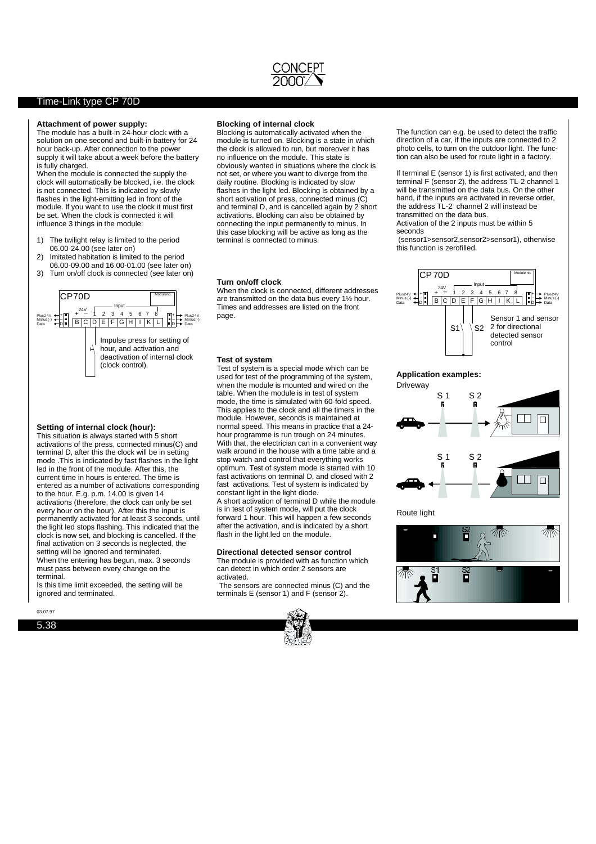

#### Time-Link type CP 70D

#### **Attachment of power supply:**

The module has a built-in 24-hour clock with a solution on one second and built-in battery for 24 hour back-up. After connection to the power supply it will take about a week before the battery is fully charged.

When the module is connected the supply the clock will automatically be blocked, i.e. the clock is not connected. This is indicated by slowly flashes in the light-emitting led in front of the module. If you want to use the clock it must first be set. When the clock is connected it will influence 3 things in the module:

- 1) The twilight relay is limited to the period 06.00-24.00 (see later on)
- 2) Imitated habitation is limited to the period 06.00-09.00 and 16.00-01.00 (see later on)
- 3) Turn on/off clock is connected (see later on)



#### **Setting of internal clock (hour):**

This situation is always started with 5 short activations of the press, connected minus(C) and terminal D, after this the clock will be in setting mode .This is indicated by fast flashes in the light led in the front of the module. After this, the current time in hours is entered. The time is entered as a number of activations corresponding to the hour. E.g. p.m. 14.00 is given 14 activations (therefore, the clock can only be set every hour on the hour). After this the input is permanently activated for at least 3 seconds, until the light led stops flashing. This indicated that the clock is now set, and blocking is cancelled. If the final activation on 3 seconds is neglected, the setting will be ignored and terminated. When the entering has begun, max. 3 seconds must pass between every change on the terminal.

Is this time limit exceeded, the setting will be ignored and terminated.

03.07.97

5.38

#### **Blocking of internal clock**

Blocking is automatically activated when the module is turned on. Blocking is a state in which the clock is allowed to run, but moreover it has no influence on the module. This state is obviously wanted in situations where the clock is not set, or where you want to diverge from the daily routine. Blocking is indicated by slow flashes in the light led. Blocking is obtained by a short activation of press, connected minus (C) and terminal D, and is cancelled again by 2 short activations. Blocking can also be obtained by connecting the input permanently to minus. In this case blocking will be active as long as the terminal is connected to minus.

#### **Turn on/off clock**

When the clock is connected, different addresses are transmitted on the data bus every 1½ hour. Times and addresses are listed on the front page.

#### **Test of system**

Test of system is a special mode which can be used for test of the programming of the system, when the module is mounted and wired on the table. When the module is in test of system mode, the time is simulated with 60-fold speed. This applies to the clock and all the timers in the module. However, seconds is maintained at normal speed. This means in practice that a 24 hour programme is run trough on 24 minutes. With that, the electrician can in a convenient way walk around in the house with a time table and a stop watch and control that everything works optimum. Test of system mode is started with 10 fast activations on terminal D, and closed with 2 fast activations. Test of system is indicated by constant light in the light diode. A short activation of terminal D while the module

is in test of system mode, will put the clock forward 1 hour. This will happen a few seconds after the activation, and is indicated by a short flash in the light led on the module.

## **Directional detected sensor control**

The module is provided with as function which can detect in which order 2 sensors are activated.

The sensors are connected minus (C) and the terminals E (sensor 1) and F (sensor 2).



The function can e.g. be used to detect the traffic direction of a car, if the inputs are connected to 2 photo cells, to turn on the outdoor light. The function can also be used for route light in a factory.

If terminal E (sensor 1) is first activated, and then terminal F (sensor 2), the address TL-2 channel 1 will be transmitted on the data bus. On the other hand, if the inputs are activated in reverse order. the address TL-2 channel 2 will instead be transmitted on the data bus.

Activation of the 2 inputs must be within 5 seconds

(sensor1>sensor2,sensor2>sensor1), otherwise this function is zerofilled.



#### **Application examples:**



Route light

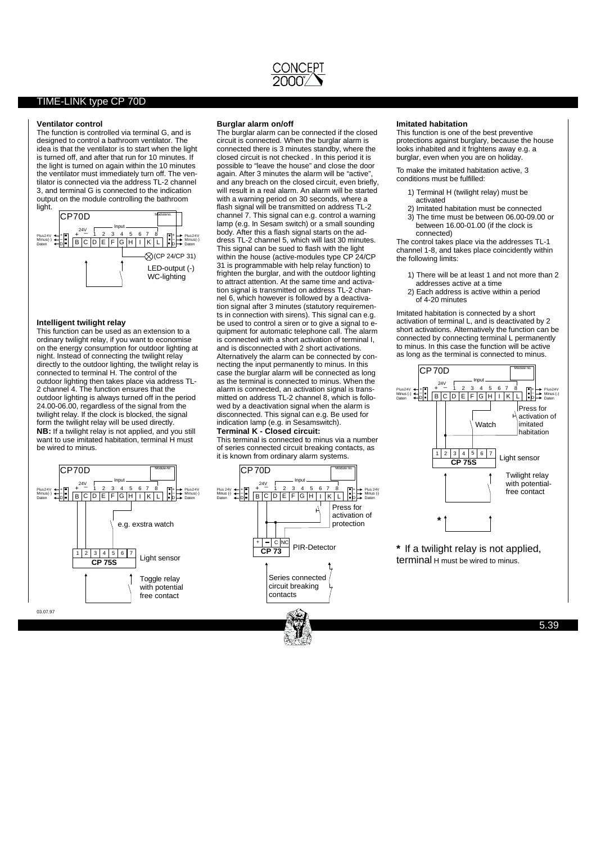

#### **Ventilator control**

The function is controlled via terminal G, and is designed to control a bathroom ventilator. The idea is that the ventilator is to start when the light is turned off, and after that run for 10 minutes. If the light is turned on again within the 10 minutes the ventilator must immediately turn off. The ventilator is connected via the address TL-2 channel 3, and terminal G is connected to the indication output on the module controlling the bathroom light.



#### **Intelligent twilight relay**

**NB:** If a twilight relay is not applied, and you still This function can be used as an extension to a ordinary twilight relay, if you want to economise on the energy consumption for outdoor lighting at night. Instead of connecting the twilight relay directly to the outdoor lighting, the twilight relay is connected to terminal H. The control of the outdoor lighting then takes place via address TL-2 channel 4. The function ensures that the outdoor lighting is always turned off in the period 24.00-06.00, regardless of the signal from the twilight relay. If the clock is blocked, the signal form the twilight relay will be used directly. want to use imitated habitation, terminal H must be wired to minus.

Input

 $3 \mid 4 \mid 5 \mid 6$ **CP 75S**

+ - 1 2 3 4 5 6 7 8<br>B C D E F G H I K L D

#### **Burglar alarm on/off**

**TerminalK- Closed circuit:** The burglar alarm can be connected if the closed circuit is connected. When the burglar alarm is connected there is 3 minutes standby, where the closed circuit is not checked . In this period it is possible to "leave the house" and close the door again. After 3 minutes the alarm will be "active", and any breach on the closed circuit, even briefly, will result in a real alarm. An alarm will be started with a warning period on 30 seconds, where a flash signal will be transmitted on address TL-2 channel 7. This signal can e.g. control a warning lamp (e.g. In Sesam switch) or a small sounding body. After this a flash signal starts on the address TL-2 channel 5, which will last 30 minutes. This signal can be sued to flash with the light within the house (active-modules type CP 24/CP 31 is programmable with help relay function) to frighten the burglar, and with the outdoor lighting to attract attention. At the same time and activation signal is transmitted on address TL-2 channel 6, which however is followed by a deactivation signal after 3 minutes (statutory requirements in connection with sirens). This signal can e.g. be used to control a siren or to give a signal to equipment for automatic telephone call. The alarm is connected with a short activation of terminal I, and is disconnected with 2 short activations. Alternatively the alarm can be connected by connecting the input permanently to minus. In this case the burglar alarm will be connected as long as the terminal is connected to minus. When the alarm is connected, an activation signal is transmitted on address TL-2 channel 8, which is followed by a deactivation signal when the alarm is disconnected. This signal can e.g. Be used for indication lamp (e.g. in Sesamswitch).

Plus24V Minus(-) Daten

Module-Nr.

Light sensor

Toggle relay with potential free contact

e.g. exstra watch

This terminal is connected to minus via a number of series connected circuit breaking contacts, as it is known from ordinary alarm systems.



#### **Imitated habitation**

This function is one of the best preventive protections against burglary, because the house looks inhabited and it frightens away e.g. a burglar, even when you are on holiday.

To make the imitated habitation active, 3 conditions must be fulfilled:

- 1) Terminal H (twilight relay) must be activated
- 2) Imitated habitation must be connected 3) The time must be between 06.00-09.00 or between 16.00-01.00 (if the clock is connected)

The control takes place via the addresses TL-1 channel 1-8, and takes place coincidently within the following limits:

- 1) There will be at least 1 and not more than 2
- addresses active at a time 2) Each address is active within a period of 4-20 minutes

Imitated habitation is connected by a short activation of terminal L, and is deactivated by 2 short activations. Alternatively the function can be connected by connecting terminal L permanently to minus. In this case the function will be active as long as the terminal is connected to minus.



**\*** If a twilight relay is not applied, terminal H must be wired to minus.

03.07.97

Plus24V Minus(-) Daten

+ \_

+ \_ 24V CP70D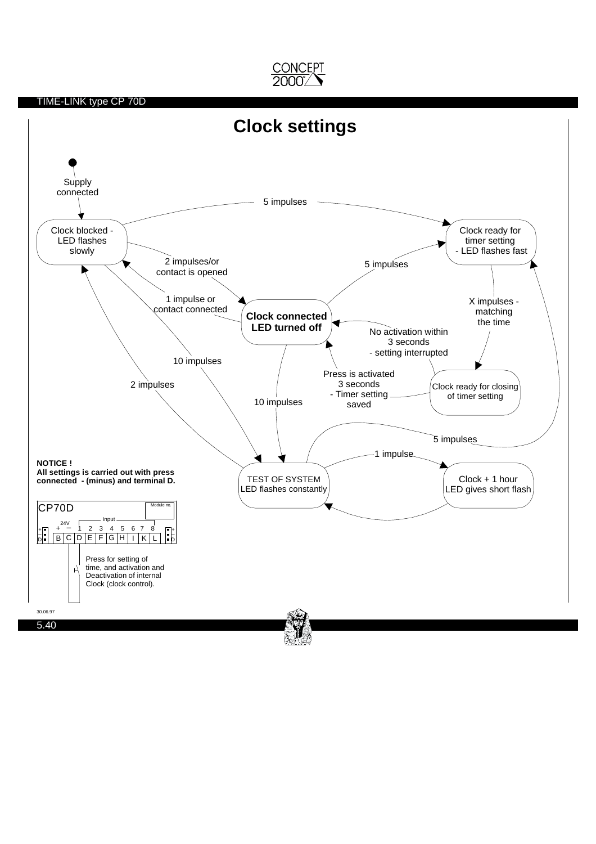

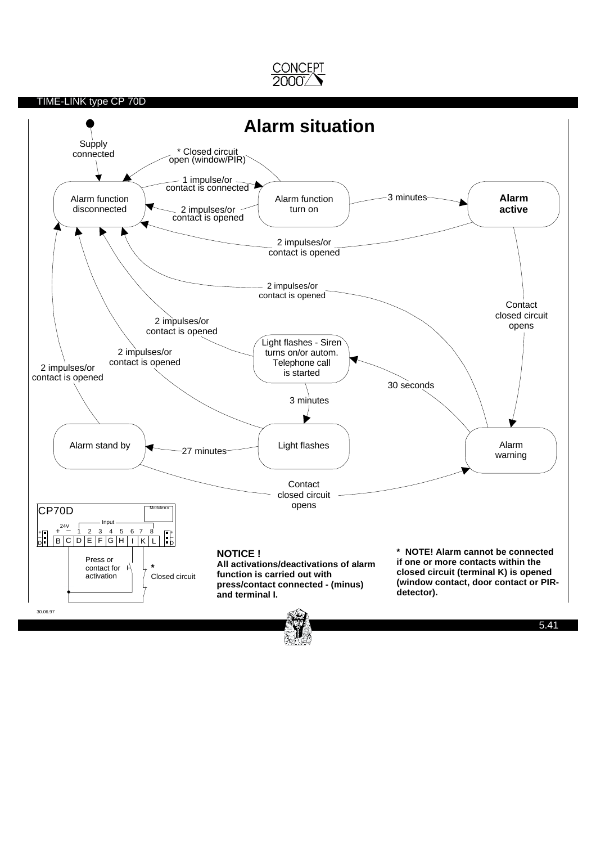